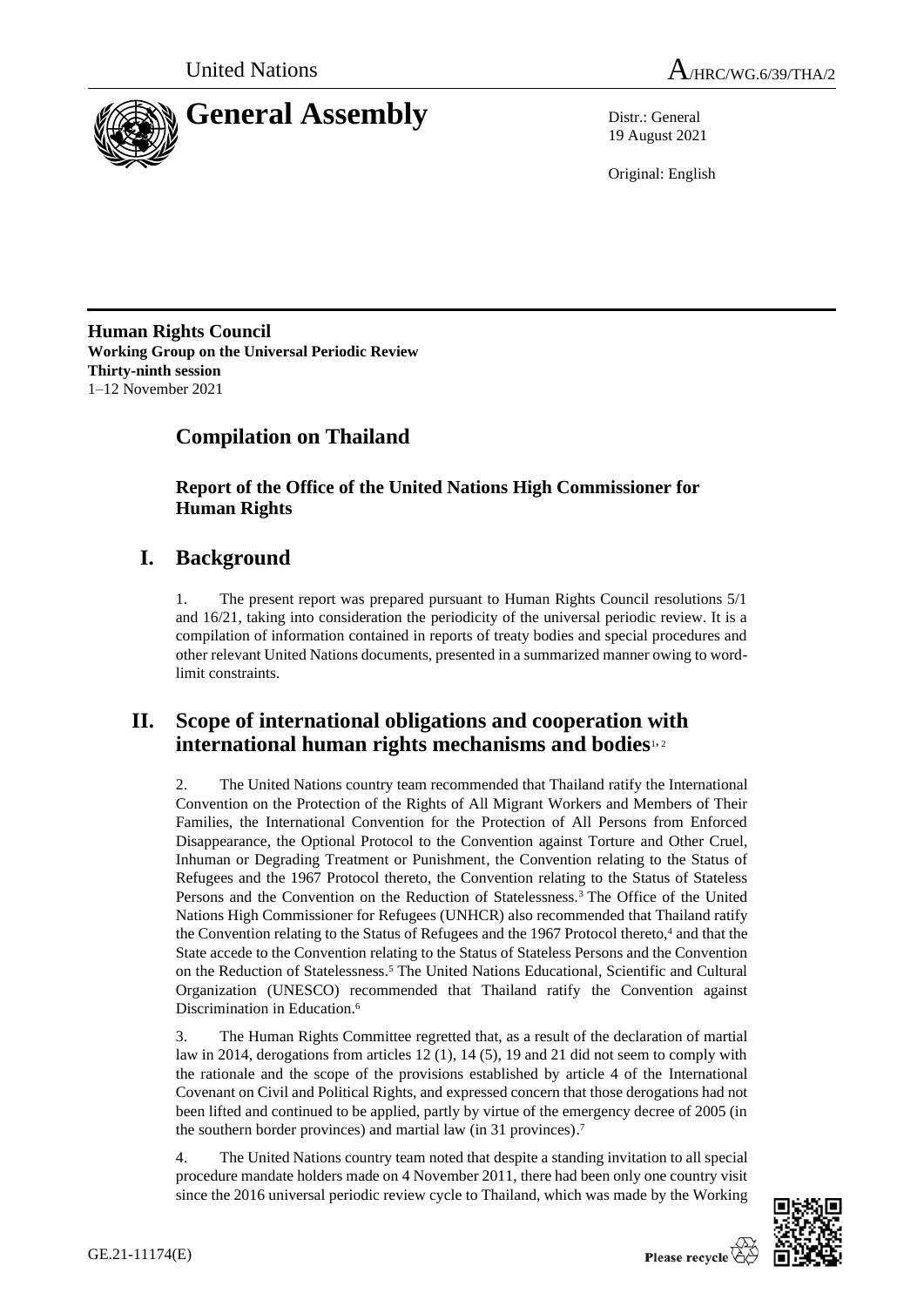

19 August 2021

Original: English

**Human Rights Council Working Group on the Universal Periodic Review Thirty-ninth session** 1–12 November 2021

# **Compilation on Thailand**

**Report of the Office of the United Nations High Commissioner for Human Rights**

# **I. Background**

1. The present report was prepared pursuant to Human Rights Council resolutions 5/1 and 16/21, taking into consideration the periodicity of the universal periodic review. It is a compilation of information contained in reports of treaty bodies and special procedures and other relevant United Nations documents, presented in a summarized manner owing to wordlimit constraints.

# **II. Scope of international obligations and cooperation with international human rights mechanisms and bodies**1, <sup>2</sup>

2. The United Nations country team recommended that Thailand ratify the International Convention on the Protection of the Rights of All Migrant Workers and Members of Their Families, the International Convention for the Protection of All Persons from Enforced Disappearance, the Optional Protocol to the Convention against Torture and Other Cruel, Inhuman or Degrading Treatment or Punishment, the Convention relating to the Status of Refugees and the 1967 Protocol thereto, the Convention relating to the Status of Stateless Persons and the Convention on the Reduction of Statelessness.<sup>3</sup> The Office of the United Nations High Commissioner for Refugees (UNHCR) also recommended that Thailand ratify the Convention relating to the Status of Refugees and the 1967 Protocol thereto,<sup>4</sup> and that the State accede to the Convention relating to the Status of Stateless Persons and the Convention on the Reduction of Statelessness. <sup>5</sup> The United Nations Educational, Scientific and Cultural Organization (UNESCO) recommended that Thailand ratify the Convention against Discrimination in Education.<sup>6</sup>

3. The Human Rights Committee regretted that, as a result of the declaration of martial law in 2014, derogations from articles 12 (1), 14 (5), 19 and 21 did not seem to comply with the rationale and the scope of the provisions established by article 4 of the International Covenant on Civil and Political Rights, and expressed concern that those derogations had not been lifted and continued to be applied, partly by virtue of the emergency decree of 2005 (in the southern border provinces) and martial law (in 31 provinces). 7

4. The United Nations country team noted that despite a standing invitation to all special procedure mandate holders made on 4 November 2011, there had been only one country visit since the 2016 universal periodic review cycle to Thailand, which was made by the Working

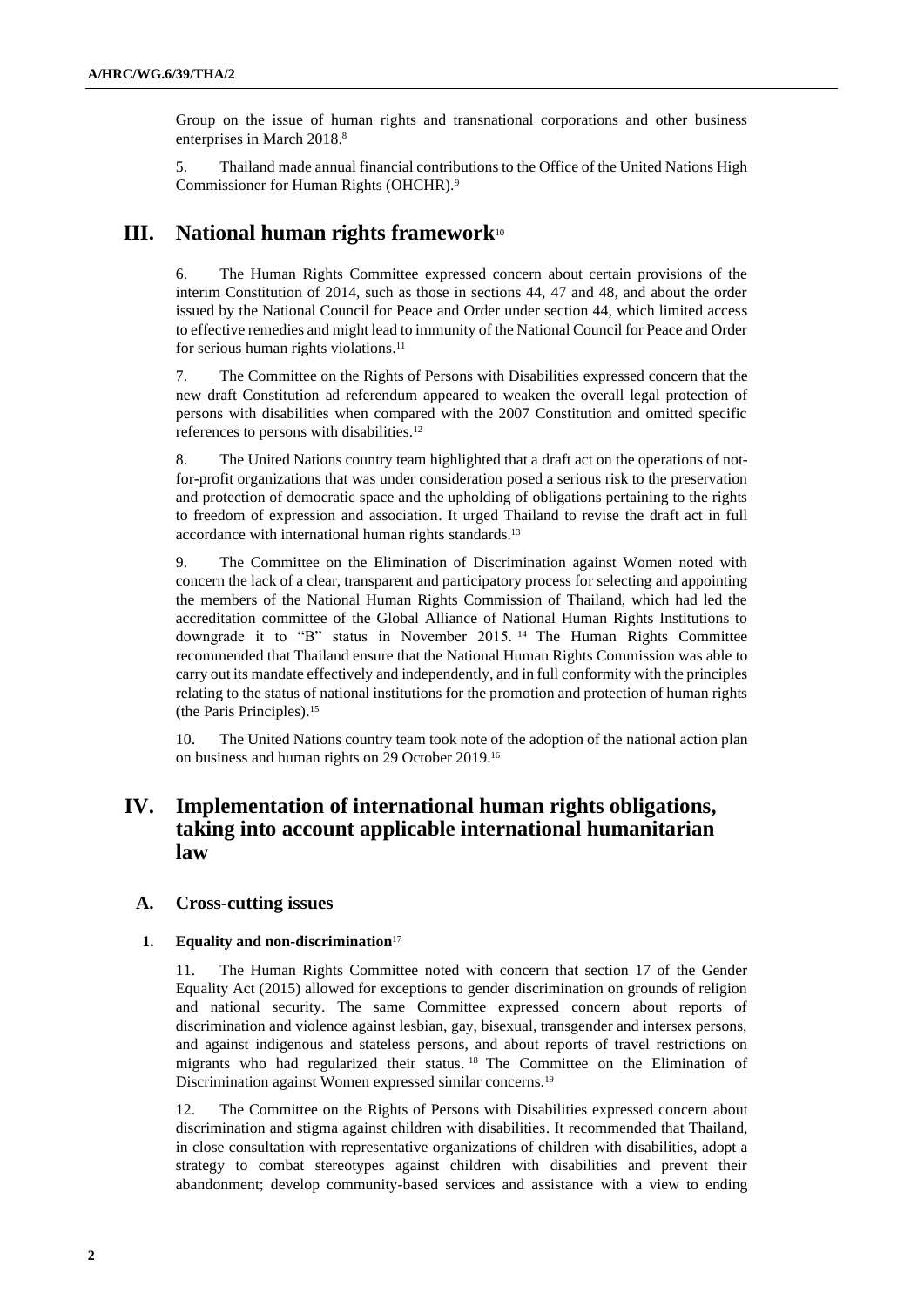Group on the issue of human rights and transnational corporations and other business enterprises in March 2018. 8

5. Thailand made annual financial contributions to the Office of the United Nations High Commissioner for Human Rights (OHCHR).<sup>9</sup>

# **III. National human rights framework**<sup>10</sup>

6. The Human Rights Committee expressed concern about certain provisions of the interim Constitution of 2014, such as those in sections 44, 47 and 48, and about the order issued by the National Council for Peace and Order under section 44, which limited access to effective remedies and might lead to immunity of the National Council for Peace and Order for serious human rights violations. 11

7. The Committee on the Rights of Persons with Disabilities expressed concern that the new draft Constitution ad referendum appeared to weaken the overall legal protection of persons with disabilities when compared with the 2007 Constitution and omitted specific references to persons with disabilities. 12

8. The United Nations country team highlighted that a draft act on the operations of notfor-profit organizations that was under consideration posed a serious risk to the preservation and protection of democratic space and the upholding of obligations pertaining to the rights to freedom of expression and association. It urged Thailand to revise the draft act in full accordance with international human rights standards.<sup>13</sup>

9. The Committee on the Elimination of Discrimination against Women noted with concern the lack of a clear, transparent and participatory process for selecting and appointing the members of the National Human Rights Commission of Thailand, which had led the accreditation committee of the Global Alliance of National Human Rights Institutions to downgrade it to "B" status in November 2015. <sup>14</sup> The Human Rights Committee recommended that Thailand ensure that the National Human Rights Commission was able to carry out its mandate effectively and independently, and in full conformity with the principles relating to the status of national institutions for the promotion and protection of human rights (the Paris Principles). 15

10. The United Nations country team took note of the adoption of the national action plan on business and human rights on 29 October 2019. 16

# **IV. Implementation of international human rights obligations, taking into account applicable international humanitarian law**

#### **A. Cross-cutting issues**

## **1. Equality and non-discrimination**<sup>17</sup>

11. The Human Rights Committee noted with concern that section 17 of the Gender Equality Act (2015) allowed for exceptions to gender discrimination on grounds of religion and national security. The same Committee expressed concern about reports of discrimination and violence against lesbian, gay, bisexual, transgender and intersex persons, and against indigenous and stateless persons, and about reports of travel restrictions on migrants who had regularized their status. <sup>18</sup> The Committee on the Elimination of Discrimination against Women expressed similar concerns.<sup>19</sup>

12. The Committee on the Rights of Persons with Disabilities expressed concern about discrimination and stigma against children with disabilities. It recommended that Thailand, in close consultation with representative organizations of children with disabilities, adopt a strategy to combat stereotypes against children with disabilities and prevent their abandonment; develop community-based services and assistance with a view to ending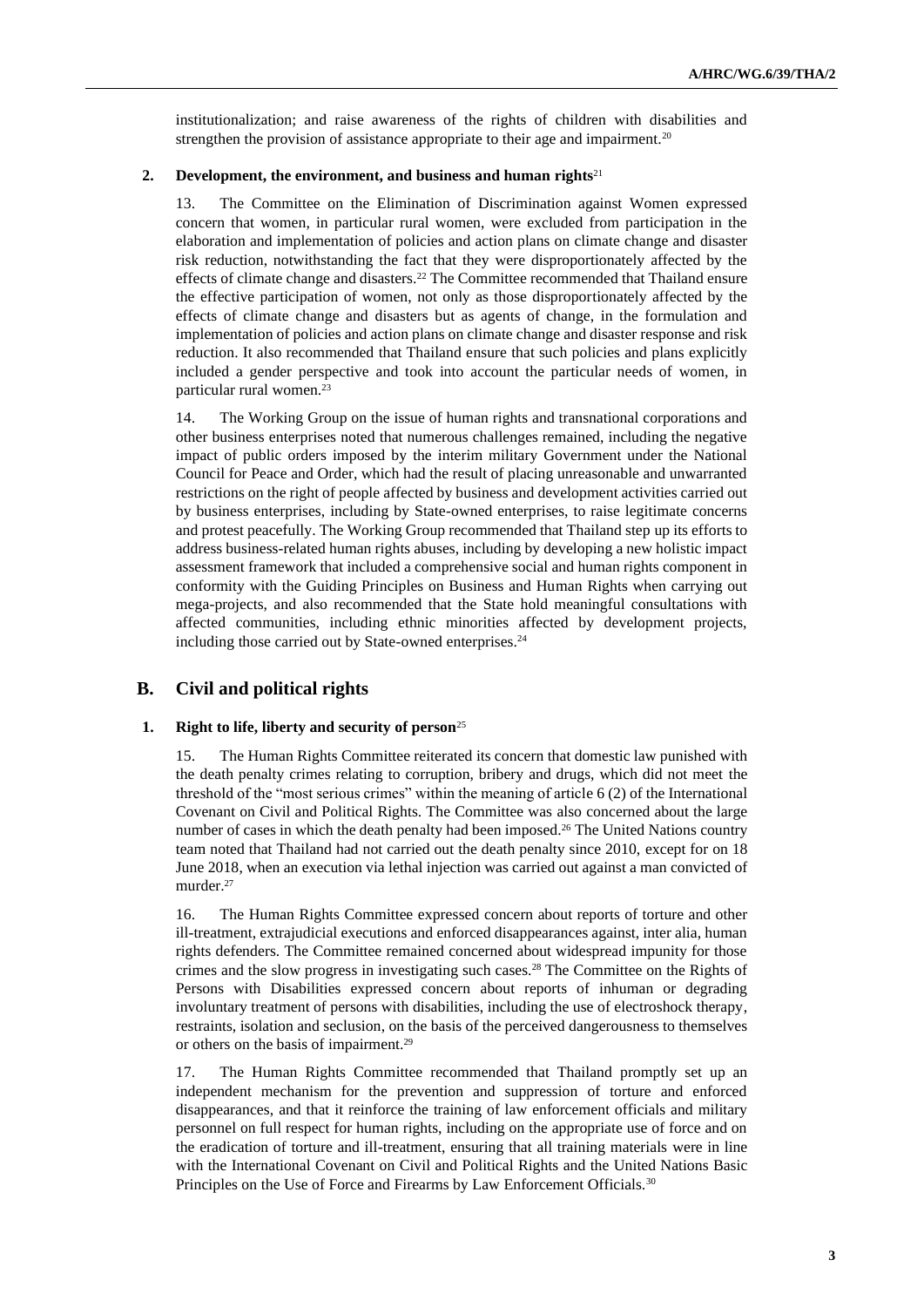institutionalization; and raise awareness of the rights of children with disabilities and strengthen the provision of assistance appropriate to their age and impairment.<sup>20</sup>

#### **2. Development, the environment, and business and human rights**<sup>21</sup>

13. The Committee on the Elimination of Discrimination against Women expressed concern that women, in particular rural women, were excluded from participation in the elaboration and implementation of policies and action plans on climate change and disaster risk reduction, notwithstanding the fact that they were disproportionately affected by the effects of climate change and disasters.<sup>22</sup> The Committee recommended that Thailand ensure the effective participation of women, not only as those disproportionately affected by the effects of climate change and disasters but as agents of change, in the formulation and implementation of policies and action plans on climate change and disaster response and risk reduction. It also recommended that Thailand ensure that such policies and plans explicitly included a gender perspective and took into account the particular needs of women, in particular rural women.<sup>23</sup>

14. The Working Group on the issue of human rights and transnational corporations and other business enterprises noted that numerous challenges remained, including the negative impact of public orders imposed by the interim military Government under the National Council for Peace and Order, which had the result of placing unreasonable and unwarranted restrictions on the right of people affected by business and development activities carried out by business enterprises, including by State-owned enterprises, to raise legitimate concerns and protest peacefully. The Working Group recommended that Thailand step up its efforts to address business-related human rights abuses, including by developing a new holistic impact assessment framework that included a comprehensive social and human rights component in conformity with the Guiding Principles on Business and Human Rights when carrying out mega-projects, and also recommended that the State hold meaningful consultations with affected communities, including ethnic minorities affected by development projects, including those carried out by State-owned enterprises.<sup>24</sup>

# **B. Civil and political rights**

### **1. Right to life, liberty and security of person**<sup>25</sup>

15. The Human Rights Committee reiterated its concern that domestic law punished with the death penalty crimes relating to corruption, bribery and drugs, which did not meet the threshold of the "most serious crimes" within the meaning of article 6 (2) of the International Covenant on Civil and Political Rights. The Committee was also concerned about the large number of cases in which the death penalty had been imposed.<sup>26</sup> The United Nations country team noted that Thailand had not carried out the death penalty since 2010, except for on 18 June 2018, when an execution via lethal injection was carried out against a man convicted of murder. 27

16. The Human Rights Committee expressed concern about reports of torture and other ill-treatment, extrajudicial executions and enforced disappearances against, inter alia, human rights defenders. The Committee remained concerned about widespread impunity for those crimes and the slow progress in investigating such cases.<sup>28</sup> The Committee on the Rights of Persons with Disabilities expressed concern about reports of inhuman or degrading involuntary treatment of persons with disabilities, including the use of electroshock therapy, restraints, isolation and seclusion, on the basis of the perceived dangerousness to themselves or others on the basis of impairment.<sup>29</sup>

17. The Human Rights Committee recommended that Thailand promptly set up an independent mechanism for the prevention and suppression of torture and enforced disappearances, and that it reinforce the training of law enforcement officials and military personnel on full respect for human rights, including on the appropriate use of force and on the eradication of torture and ill-treatment, ensuring that all training materials were in line with the International Covenant on Civil and Political Rights and the United Nations Basic Principles on the Use of Force and Firearms by Law Enforcement Officials.<sup>30</sup>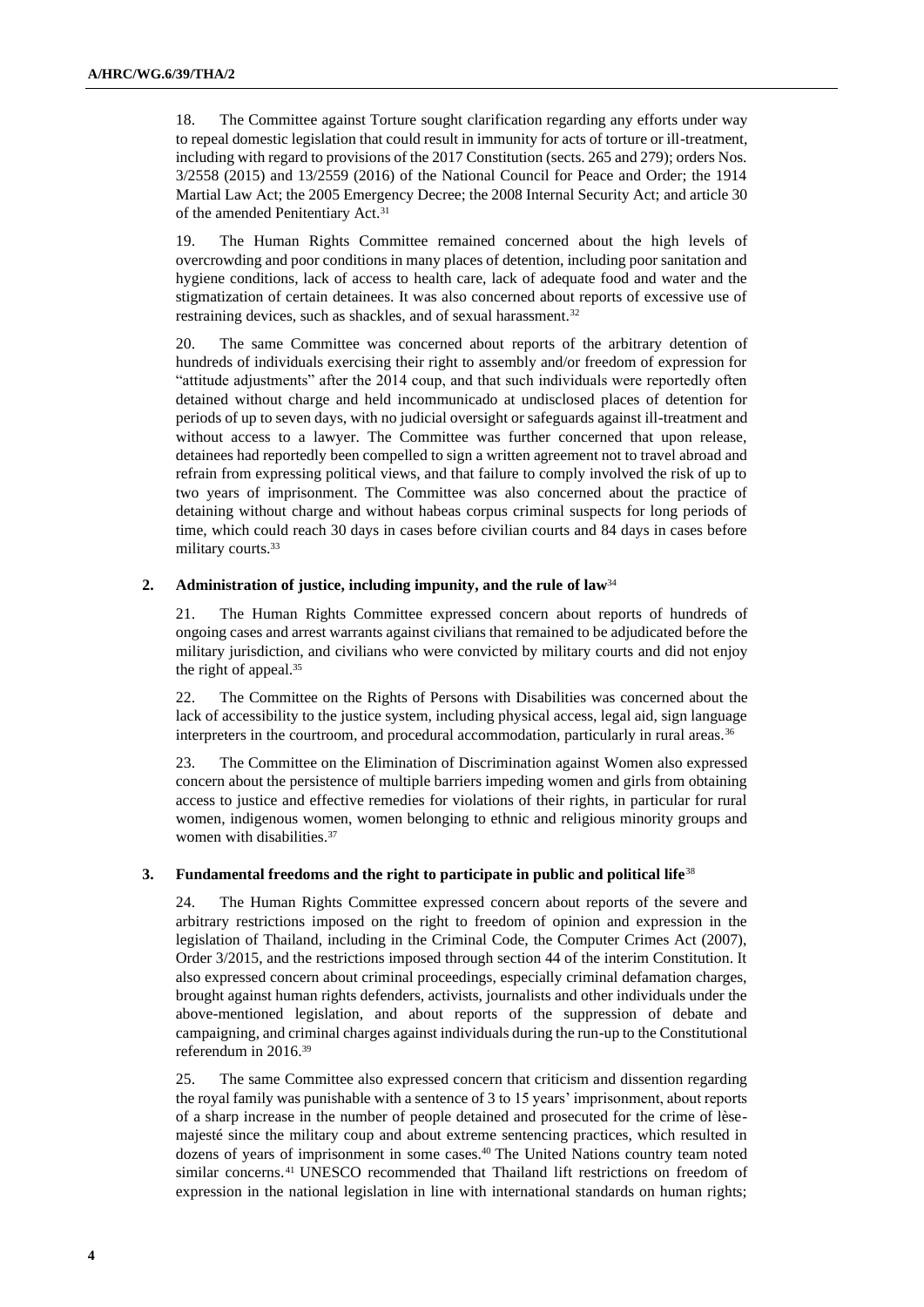18. The Committee against Torture sought clarification regarding any efforts under way to repeal domestic legislation that could result in immunity for acts of torture or ill-treatment, including with regard to provisions of the 2017 Constitution (sects. 265 and 279); orders Nos. 3/2558 (2015) and 13/2559 (2016) of the National Council for Peace and Order; the 1914 Martial Law Act; the 2005 Emergency Decree; the 2008 Internal Security Act; and article 30 of the amended Penitentiary Act.<sup>31</sup>

19. The Human Rights Committee remained concerned about the high levels of overcrowding and poor conditions in many places of detention, including poor sanitation and hygiene conditions, lack of access to health care, lack of adequate food and water and the stigmatization of certain detainees. It was also concerned about reports of excessive use of restraining devices, such as shackles, and of sexual harassment.<sup>32</sup>

20. The same Committee was concerned about reports of the arbitrary detention of hundreds of individuals exercising their right to assembly and/or freedom of expression for "attitude adjustments" after the 2014 coup, and that such individuals were reportedly often detained without charge and held incommunicado at undisclosed places of detention for periods of up to seven days, with no judicial oversight or safeguards against ill-treatment and without access to a lawyer. The Committee was further concerned that upon release, detainees had reportedly been compelled to sign a written agreement not to travel abroad and refrain from expressing political views, and that failure to comply involved the risk of up to two years of imprisonment. The Committee was also concerned about the practice of detaining without charge and without habeas corpus criminal suspects for long periods of time, which could reach 30 days in cases before civilian courts and 84 days in cases before military courts.<sup>33</sup>

### **2. Administration of justice, including impunity, and the rule of law**<sup>34</sup>

The Human Rights Committee expressed concern about reports of hundreds of ongoing cases and arrest warrants against civilians that remained to be adjudicated before the military jurisdiction, and civilians who were convicted by military courts and did not enjoy the right of appeal.<sup>35</sup>

22. The Committee on the Rights of Persons with Disabilities was concerned about the lack of accessibility to the justice system, including physical access, legal aid, sign language interpreters in the courtroom, and procedural accommodation, particularly in rural areas.<sup>36</sup>

23. The Committee on the Elimination of Discrimination against Women also expressed concern about the persistence of multiple barriers impeding women and girls from obtaining access to justice and effective remedies for violations of their rights, in particular for rural women, indigenous women, women belonging to ethnic and religious minority groups and women with disabilities.<sup>37</sup>

#### **3. Fundamental freedoms and the right to participate in public and political life**<sup>38</sup>

24. The Human Rights Committee expressed concern about reports of the severe and arbitrary restrictions imposed on the right to freedom of opinion and expression in the legislation of Thailand, including in the Criminal Code, the Computer Crimes Act (2007), Order 3/2015, and the restrictions imposed through section 44 of the interim Constitution. It also expressed concern about criminal proceedings, especially criminal defamation charges, brought against human rights defenders, activists, journalists and other individuals under the above-mentioned legislation, and about reports of the suppression of debate and campaigning, and criminal charges against individuals during the run-up to the Constitutional referendum in 2016.<sup>39</sup>

25. The same Committee also expressed concern that criticism and dissention regarding the royal family was punishable with a sentence of 3 to 15 years' imprisonment, about reports of a sharp increase in the number of people detained and prosecuted for the crime of lèsemajesté since the military coup and about extreme sentencing practices, which resulted in dozens of years of imprisonment in some cases. <sup>40</sup> The United Nations country team noted similar concerns.<sup>41</sup> UNESCO recommended that Thailand lift restrictions on freedom of expression in the national legislation in line with international standards on human rights;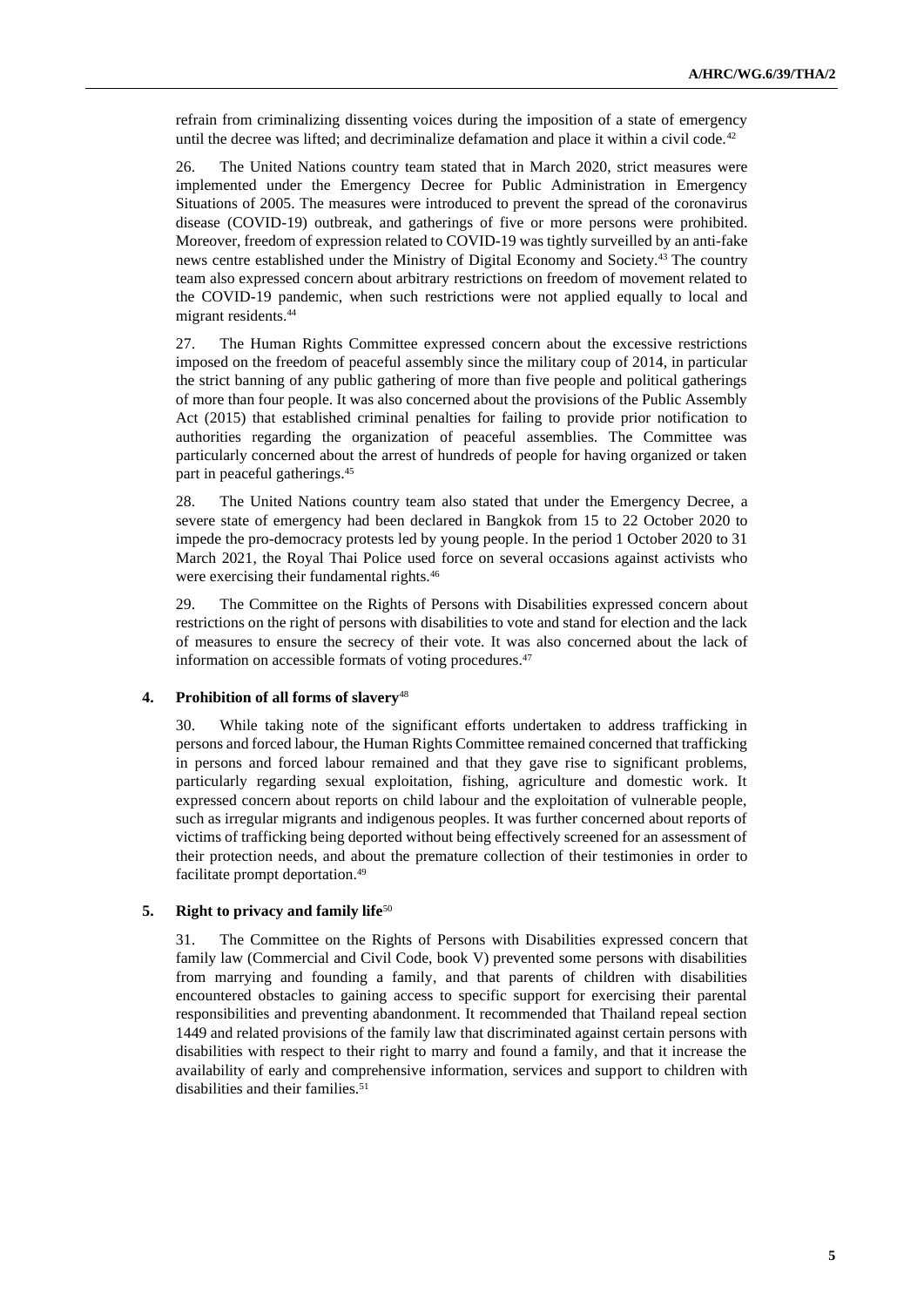refrain from criminalizing dissenting voices during the imposition of a state of emergency until the decree was lifted; and decriminalize defamation and place it within a civil code. $42$ 

26. The United Nations country team stated that in March 2020, strict measures were implemented under the Emergency Decree for Public Administration in Emergency Situations of 2005. The measures were introduced to prevent the spread of the coronavirus disease (COVID-19) outbreak, and gatherings of five or more persons were prohibited. Moreover, freedom of expression related to COVID-19 was tightly surveilled by an anti-fake news centre established under the Ministry of Digital Economy and Society.<sup>43</sup> The country team also expressed concern about arbitrary restrictions on freedom of movement related to the COVID-19 pandemic, when such restrictions were not applied equally to local and migrant residents. 44

27. The Human Rights Committee expressed concern about the excessive restrictions imposed on the freedom of peaceful assembly since the military coup of 2014, in particular the strict banning of any public gathering of more than five people and political gatherings of more than four people. It was also concerned about the provisions of the Public Assembly Act (2015) that established criminal penalties for failing to provide prior notification to authorities regarding the organization of peaceful assemblies. The Committee was particularly concerned about the arrest of hundreds of people for having organized or taken part in peaceful gatherings.<sup>45</sup>

28. The United Nations country team also stated that under the Emergency Decree, a severe state of emergency had been declared in Bangkok from 15 to 22 October 2020 to impede the pro-democracy protests led by young people. In the period 1 October 2020 to 31 March 2021, the Royal Thai Police used force on several occasions against activists who were exercising their fundamental rights.<sup>46</sup>

29. The Committee on the Rights of Persons with Disabilities expressed concern about restrictions on the right of persons with disabilities to vote and stand for election and the lack of measures to ensure the secrecy of their vote. It was also concerned about the lack of information on accessible formats of voting procedures.<sup>47</sup>

#### **4. Prohibition of all forms of slavery**<sup>48</sup>

30. While taking note of the significant efforts undertaken to address trafficking in persons and forced labour, the Human Rights Committee remained concerned that trafficking in persons and forced labour remained and that they gave rise to significant problems, particularly regarding sexual exploitation, fishing, agriculture and domestic work. It expressed concern about reports on child labour and the exploitation of vulnerable people, such as irregular migrants and indigenous peoples. It was further concerned about reports of victims of trafficking being deported without being effectively screened for an assessment of their protection needs, and about the premature collection of their testimonies in order to facilitate prompt deportation.<sup>49</sup>

#### **5. Right to privacy and family life**<sup>50</sup>

31. The Committee on the Rights of Persons with Disabilities expressed concern that family law (Commercial and Civil Code, book V) prevented some persons with disabilities from marrying and founding a family, and that parents of children with disabilities encountered obstacles to gaining access to specific support for exercising their parental responsibilities and preventing abandonment. It recommended that Thailand repeal section 1449 and related provisions of the family law that discriminated against certain persons with disabilities with respect to their right to marry and found a family, and that it increase the availability of early and comprehensive information, services and support to children with disabilities and their families.<sup>51</sup>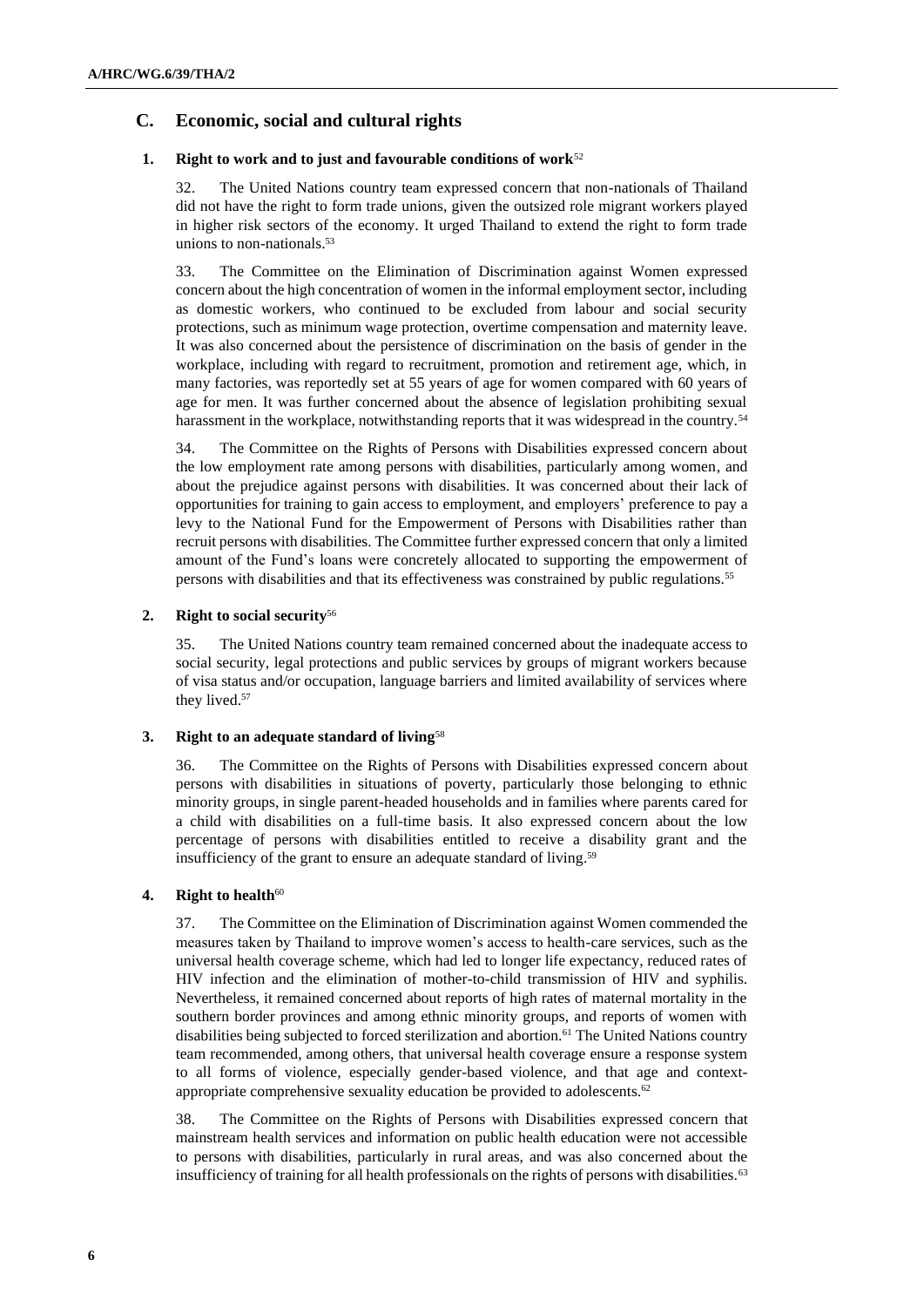# **C. Economic, social and cultural rights**

## **1. Right to work and to just and favourable conditions of work**<sup>52</sup>

32. The United Nations country team expressed concern that non-nationals of Thailand did not have the right to form trade unions, given the outsized role migrant workers played in higher risk sectors of the economy. It urged Thailand to extend the right to form trade unions to non-nationals. 53

33. The Committee on the Elimination of Discrimination against Women expressed concern about the high concentration of women in the informal employment sector, including as domestic workers, who continued to be excluded from labour and social security protections, such as minimum wage protection, overtime compensation and maternity leave. It was also concerned about the persistence of discrimination on the basis of gender in the workplace, including with regard to recruitment, promotion and retirement age, which, in many factories, was reportedly set at 55 years of age for women compared with 60 years of age for men. It was further concerned about the absence of legislation prohibiting sexual harassment in the workplace, notwithstanding reports that it was widespread in the country.<sup>54</sup>

34. The Committee on the Rights of Persons with Disabilities expressed concern about the low employment rate among persons with disabilities, particularly among women, and about the prejudice against persons with disabilities. It was concerned about their lack of opportunities for training to gain access to employment, and employers' preference to pay a levy to the National Fund for the Empowerment of Persons with Disabilities rather than recruit persons with disabilities. The Committee further expressed concern that only a limited amount of the Fund's loans were concretely allocated to supporting the empowerment of persons with disabilities and that its effectiveness was constrained by public regulations.<sup>55</sup>

### **2. Right to social security**<sup>56</sup>

35. The United Nations country team remained concerned about the inadequate access to social security, legal protections and public services by groups of migrant workers because of visa status and/or occupation, language barriers and limited availability of services where they lived.<sup>57</sup>

## **3. Right to an adequate standard of living**<sup>58</sup>

36. The Committee on the Rights of Persons with Disabilities expressed concern about persons with disabilities in situations of poverty, particularly those belonging to ethnic minority groups, in single parent-headed households and in families where parents cared for a child with disabilities on a full-time basis. It also expressed concern about the low percentage of persons with disabilities entitled to receive a disability grant and the insufficiency of the grant to ensure an adequate standard of living. 59

## **4. Right to health**<sup>60</sup>

37. The Committee on the Elimination of Discrimination against Women commended the measures taken by Thailand to improve women's access to health-care services, such as the universal health coverage scheme, which had led to longer life expectancy, reduced rates of HIV infection and the elimination of mother-to-child transmission of HIV and syphilis. Nevertheless, it remained concerned about reports of high rates of maternal mortality in the southern border provinces and among ethnic minority groups, and reports of women with disabilities being subjected to forced sterilization and abortion.<sup>61</sup> The United Nations country team recommended, among others, that universal health coverage ensure a response system to all forms of violence, especially gender-based violence, and that age and contextappropriate comprehensive sexuality education be provided to adolescents.<sup>62</sup>

38. The Committee on the Rights of Persons with Disabilities expressed concern that mainstream health services and information on public health education were not accessible to persons with disabilities, particularly in rural areas, and was also concerned about the insufficiency of training for all health professionals on the rights of persons with disabilities.<sup>63</sup>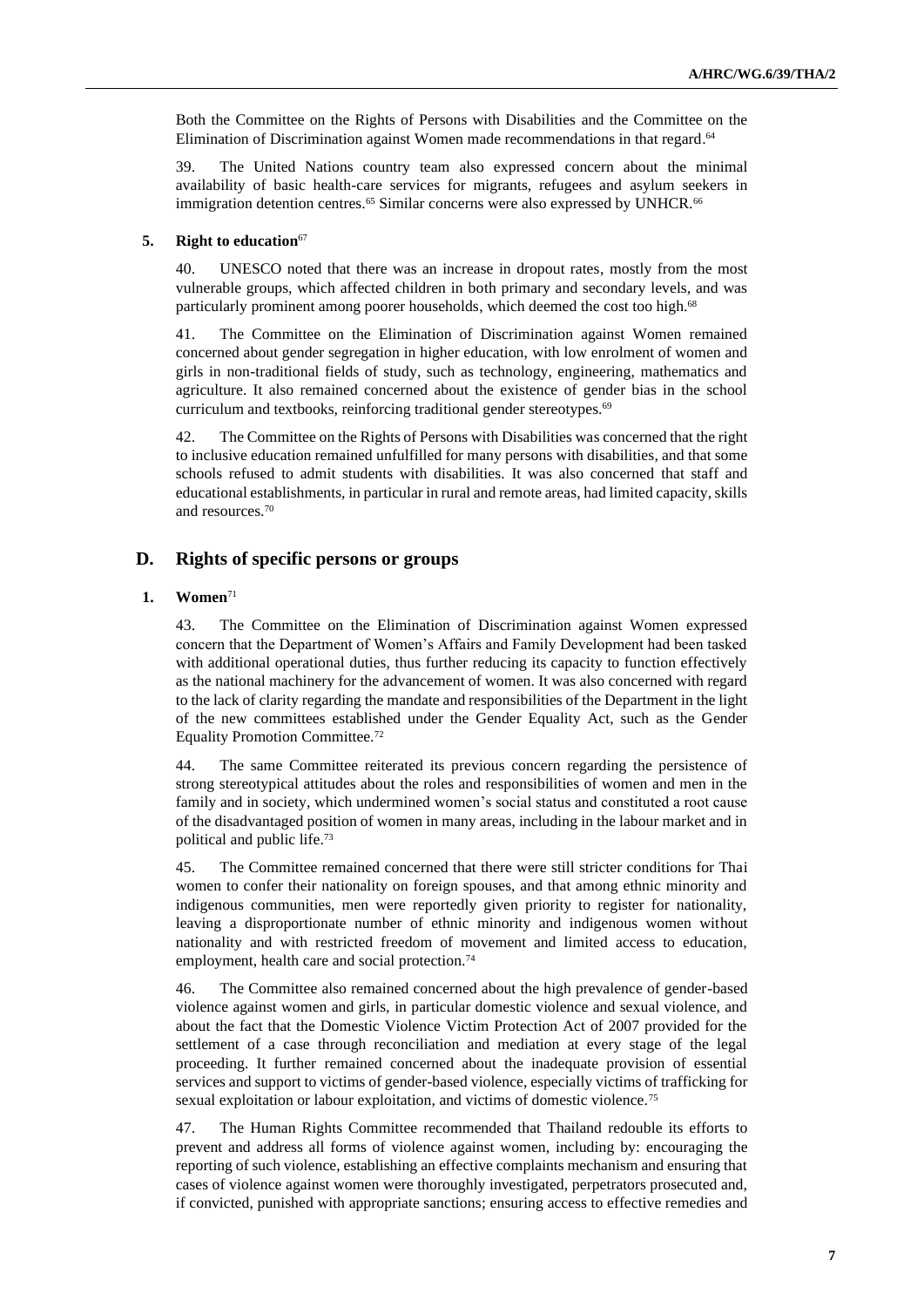Both the Committee on the Rights of Persons with Disabilities and the Committee on the Elimination of Discrimination against Women made recommendations in that regard. 64

39. The United Nations country team also expressed concern about the minimal availability of basic health-care services for migrants, refugees and asylum seekers in immigration detention centres.<sup>65</sup> Similar concerns were also expressed by UNHCR.<sup>66</sup>

#### **5. Right to education**<sup>67</sup>

40. UNESCO noted that there was an increase in dropout rates, mostly from the most vulnerable groups, which affected children in both primary and secondary levels, and was particularly prominent among poorer households, which deemed the cost too high.<sup>68</sup>

41. The Committee on the Elimination of Discrimination against Women remained concerned about gender segregation in higher education, with low enrolment of women and girls in non-traditional fields of study, such as technology, engineering, mathematics and agriculture. It also remained concerned about the existence of gender bias in the school curriculum and textbooks, reinforcing traditional gender stereotypes.<sup>69</sup>

42. The Committee on the Rights of Persons with Disabilities was concerned that the right to inclusive education remained unfulfilled for many persons with disabilities, and that some schools refused to admit students with disabilities. It was also concerned that staff and educational establishments, in particular in rural and remote areas, had limited capacity, skills and resources.<sup>70</sup>

# **D. Rights of specific persons or groups**

#### **1. Women**<sup>71</sup>

43. The Committee on the Elimination of Discrimination against Women expressed concern that the Department of Women's Affairs and Family Development had been tasked with additional operational duties, thus further reducing its capacity to function effectively as the national machinery for the advancement of women. It was also concerned with regard to the lack of clarity regarding the mandate and responsibilities of the Department in the light of the new committees established under the Gender Equality Act, such as the Gender Equality Promotion Committee.<sup>72</sup>

44. The same Committee reiterated its previous concern regarding the persistence of strong stereotypical attitudes about the roles and responsibilities of women and men in the family and in society, which undermined women's social status and constituted a root cause of the disadvantaged position of women in many areas, including in the labour market and in political and public life.<sup>73</sup>

45. The Committee remained concerned that there were still stricter conditions for Thai women to confer their nationality on foreign spouses, and that among ethnic minority and indigenous communities, men were reportedly given priority to register for nationality, leaving a disproportionate number of ethnic minority and indigenous women without nationality and with restricted freedom of movement and limited access to education, employment, health care and social protection.<sup>74</sup>

46. The Committee also remained concerned about the high prevalence of gender-based violence against women and girls, in particular domestic violence and sexual violence, and about the fact that the Domestic Violence Victim Protection Act of 2007 provided for the settlement of a case through reconciliation and mediation at every stage of the legal proceeding. It further remained concerned about the inadequate provision of essential services and support to victims of gender-based violence, especially victims of trafficking for sexual exploitation or labour exploitation, and victims of domestic violence.<sup>75</sup>

47. The Human Rights Committee recommended that Thailand redouble its efforts to prevent and address all forms of violence against women, including by: encouraging the reporting of such violence, establishing an effective complaints mechanism and ensuring that cases of violence against women were thoroughly investigated, perpetrators prosecuted and, if convicted, punished with appropriate sanctions; ensuring access to effective remedies and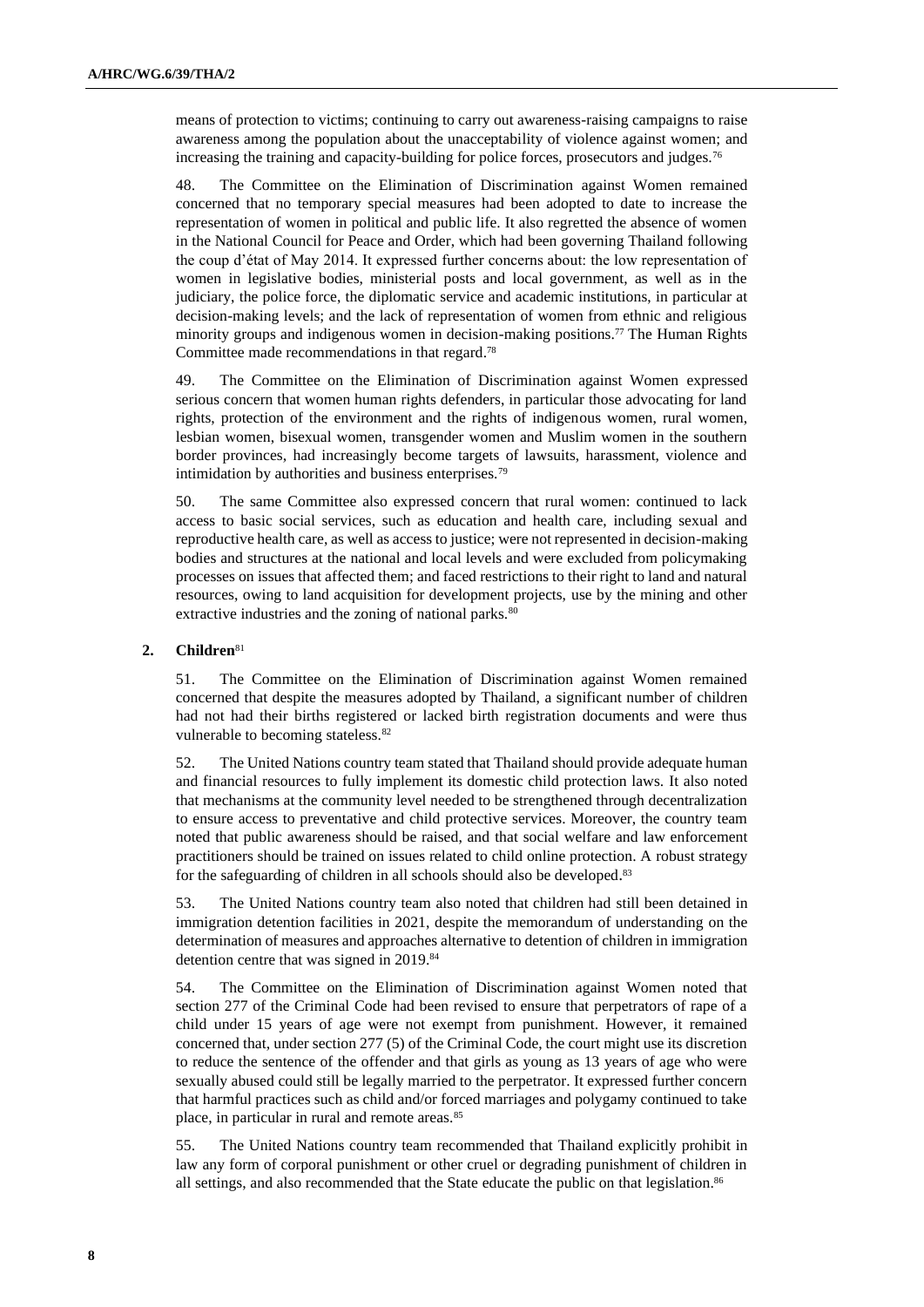means of protection to victims; continuing to carry out awareness-raising campaigns to raise awareness among the population about the unacceptability of violence against women; and increasing the training and capacity-building for police forces, prosecutors and judges.<sup>76</sup>

48. The Committee on the Elimination of Discrimination against Women remained concerned that no temporary special measures had been adopted to date to increase the representation of women in political and public life. It also regretted the absence of women in the National Council for Peace and Order, which had been governing Thailand following the coup d'état of May 2014. It expressed further concerns about: the low representation of women in legislative bodies, ministerial posts and local government, as well as in the judiciary, the police force, the diplomatic service and academic institutions, in particular at decision-making levels; and the lack of representation of women from ethnic and religious minority groups and indigenous women in decision-making positions.<sup>77</sup> The Human Rights Committee made recommendations in that regard. 78

49. The Committee on the Elimination of Discrimination against Women expressed serious concern that women human rights defenders, in particular those advocating for land rights, protection of the environment and the rights of indigenous women, rural women, lesbian women, bisexual women, transgender women and Muslim women in the southern border provinces, had increasingly become targets of lawsuits, harassment, violence and intimidation by authorities and business enterprises.<sup>79</sup>

50. The same Committee also expressed concern that rural women: continued to lack access to basic social services, such as education and health care, including sexual and reproductive health care, as well as access to justice; were not represented in decision-making bodies and structures at the national and local levels and were excluded from policymaking processes on issues that affected them; and faced restrictions to their right to land and natural resources, owing to land acquisition for development projects, use by the mining and other extractive industries and the zoning of national parks.<sup>80</sup>

#### **2. Children**<sup>81</sup>

51. The Committee on the Elimination of Discrimination against Women remained concerned that despite the measures adopted by Thailand, a significant number of children had not had their births registered or lacked birth registration documents and were thus vulnerable to becoming stateless.<sup>82</sup>

52. The United Nations country team stated that Thailand should provide adequate human and financial resources to fully implement its domestic child protection laws. It also noted that mechanisms at the community level needed to be strengthened through decentralization to ensure access to preventative and child protective services. Moreover, the country team noted that public awareness should be raised, and that social welfare and law enforcement practitioners should be trained on issues related to child online protection. A robust strategy for the safeguarding of children in all schools should also be developed.<sup>83</sup>

53. The United Nations country team also noted that children had still been detained in immigration detention facilities in 2021, despite the memorandum of understanding on the determination of measures and approaches alternative to detention of children in immigration detention centre that was signed in 2019.<sup>84</sup>

54. The Committee on the Elimination of Discrimination against Women noted that section 277 of the Criminal Code had been revised to ensure that perpetrators of rape of a child under 15 years of age were not exempt from punishment. However, it remained concerned that, under section 277 (5) of the Criminal Code, the court might use its discretion to reduce the sentence of the offender and that girls as young as 13 years of age who were sexually abused could still be legally married to the perpetrator. It expressed further concern that harmful practices such as child and/or forced marriages and polygamy continued to take place, in particular in rural and remote areas.<sup>85</sup>

55. The United Nations country team recommended that Thailand explicitly prohibit in law any form of corporal punishment or other cruel or degrading punishment of children in all settings, and also recommended that the State educate the public on that legislation.<sup>86</sup>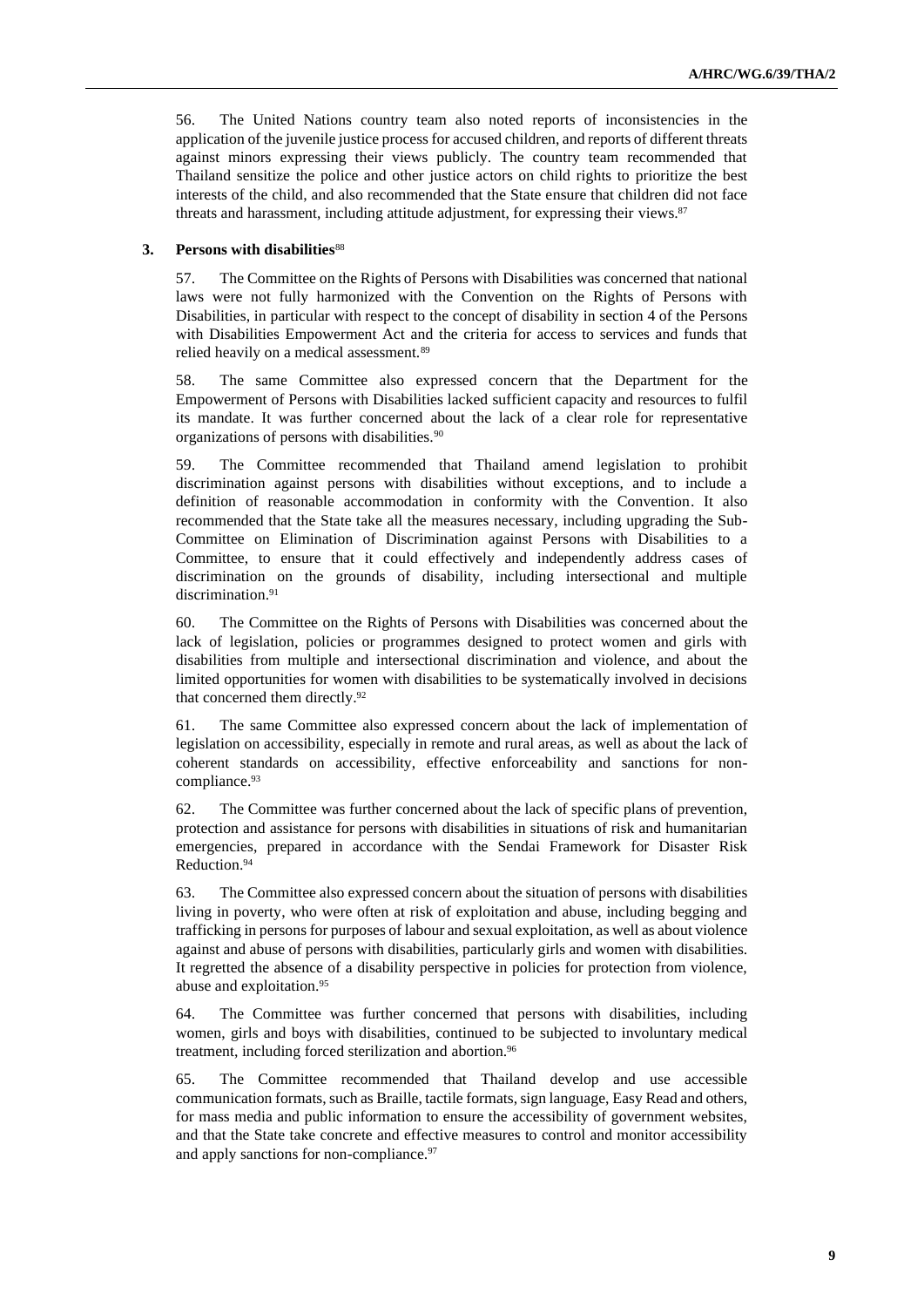56. The United Nations country team also noted reports of inconsistencies in the application of the juvenile justice process for accused children, and reports of different threats against minors expressing their views publicly. The country team recommended that Thailand sensitize the police and other justice actors on child rights to prioritize the best interests of the child, and also recommended that the State ensure that children did not face threats and harassment, including attitude adjustment, for expressing their views. 87

### **3. Persons with disabilities**<sup>88</sup>

57. The Committee on the Rights of Persons with Disabilities was concerned that national laws were not fully harmonized with the Convention on the Rights of Persons with Disabilities, in particular with respect to the concept of disability in section 4 of the Persons with Disabilities Empowerment Act and the criteria for access to services and funds that relied heavily on a medical assessment.<sup>89</sup>

58. The same Committee also expressed concern that the Department for the Empowerment of Persons with Disabilities lacked sufficient capacity and resources to fulfil its mandate. It was further concerned about the lack of a clear role for representative organizations of persons with disabilities.<sup>90</sup>

59. The Committee recommended that Thailand amend legislation to prohibit discrimination against persons with disabilities without exceptions, and to include a definition of reasonable accommodation in conformity with the Convention. It also recommended that the State take all the measures necessary, including upgrading the Sub-Committee on Elimination of Discrimination against Persons with Disabilities to a Committee, to ensure that it could effectively and independently address cases of discrimination on the grounds of disability, including intersectional and multiple discrimination.<sup>91</sup>

60. The Committee on the Rights of Persons with Disabilities was concerned about the lack of legislation, policies or programmes designed to protect women and girls with disabilities from multiple and intersectional discrimination and violence, and about the limited opportunities for women with disabilities to be systematically involved in decisions that concerned them directly. 92

61. The same Committee also expressed concern about the lack of implementation of legislation on accessibility, especially in remote and rural areas, as well as about the lack of coherent standards on accessibility, effective enforceability and sanctions for noncompliance. 93

62. The Committee was further concerned about the lack of specific plans of prevention, protection and assistance for persons with disabilities in situations of risk and humanitarian emergencies, prepared in accordance with the Sendai Framework for Disaster Risk Reduction. 94

63. The Committee also expressed concern about the situation of persons with disabilities living in poverty, who were often at risk of exploitation and abuse, including begging and trafficking in persons for purposes of labour and sexual exploitation, as well as about violence against and abuse of persons with disabilities, particularly girls and women with disabilities. It regretted the absence of a disability perspective in policies for protection from violence, abuse and exploitation.<sup>95</sup>

64. The Committee was further concerned that persons with disabilities, including women, girls and boys with disabilities, continued to be subjected to involuntary medical treatment, including forced sterilization and abortion. 96

65. The Committee recommended that Thailand develop and use accessible communication formats, such as Braille, tactile formats, sign language, Easy Read and others, for mass media and public information to ensure the accessibility of government websites, and that the State take concrete and effective measures to control and monitor accessibility and apply sanctions for non-compliance.<sup>97</sup>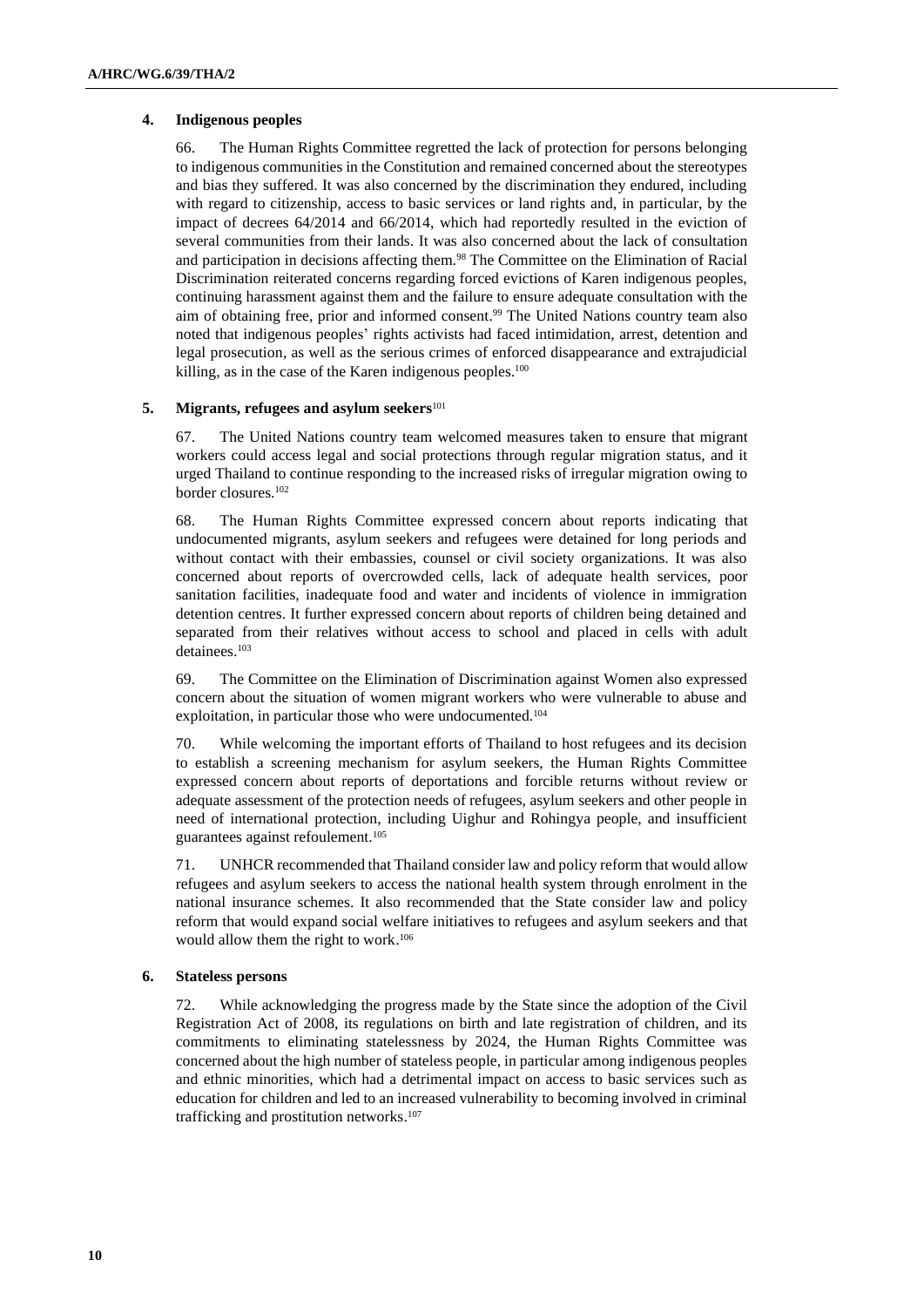### **4. Indigenous peoples**

66. The Human Rights Committee regretted the lack of protection for persons belonging to indigenous communities in the Constitution and remained concerned about the stereotypes and bias they suffered. It was also concerned by the discrimination they endured, including with regard to citizenship, access to basic services or land rights and, in particular, by the impact of decrees 64/2014 and 66/2014, which had reportedly resulted in the eviction of several communities from their lands. It was also concerned about the lack of consultation and participation in decisions affecting them.<sup>98</sup> The Committee on the Elimination of Racial Discrimination reiterated concerns regarding forced evictions of Karen indigenous peoples, continuing harassment against them and the failure to ensure adequate consultation with the aim of obtaining free, prior and informed consent. <sup>99</sup> The United Nations country team also noted that indigenous peoples' rights activists had faced intimidation, arrest, detention and legal prosecution, as well as the serious crimes of enforced disappearance and extrajudicial killing, as in the case of the Karen indigenous peoples.<sup>100</sup>

#### **5. Migrants, refugees and asylum seekers**<sup>101</sup>

67. The United Nations country team welcomed measures taken to ensure that migrant workers could access legal and social protections through regular migration status, and it urged Thailand to continue responding to the increased risks of irregular migration owing to border closures.<sup>102</sup>

68. The Human Rights Committee expressed concern about reports indicating that undocumented migrants, asylum seekers and refugees were detained for long periods and without contact with their embassies, counsel or civil society organizations. It was also concerned about reports of overcrowded cells, lack of adequate health services, poor sanitation facilities, inadequate food and water and incidents of violence in immigration detention centres. It further expressed concern about reports of children being detained and separated from their relatives without access to school and placed in cells with adult detainees.<sup>103</sup>

69. The Committee on the Elimination of Discrimination against Women also expressed concern about the situation of women migrant workers who were vulnerable to abuse and exploitation, in particular those who were undocumented.<sup>104</sup>

70. While welcoming the important efforts of Thailand to host refugees and its decision to establish a screening mechanism for asylum seekers, the Human Rights Committee expressed concern about reports of deportations and forcible returns without review or adequate assessment of the protection needs of refugees, asylum seekers and other people in need of international protection, including Uighur and Rohingya people, and insufficient guarantees against refoulement.<sup>105</sup>

71. UNHCR recommended that Thailand consider law and policy reform that would allow refugees and asylum seekers to access the national health system through enrolment in the national insurance schemes. It also recommended that the State consider law and policy reform that would expand social welfare initiatives to refugees and asylum seekers and that would allow them the right to work. 106

#### **6. Stateless persons**

72. While acknowledging the progress made by the State since the adoption of the Civil Registration Act of 2008, its regulations on birth and late registration of children, and its commitments to eliminating statelessness by 2024, the Human Rights Committee was concerned about the high number of stateless people, in particular among indigenous peoples and ethnic minorities, which had a detrimental impact on access to basic services such as education for children and led to an increased vulnerability to becoming involved in criminal trafficking and prostitution networks. 107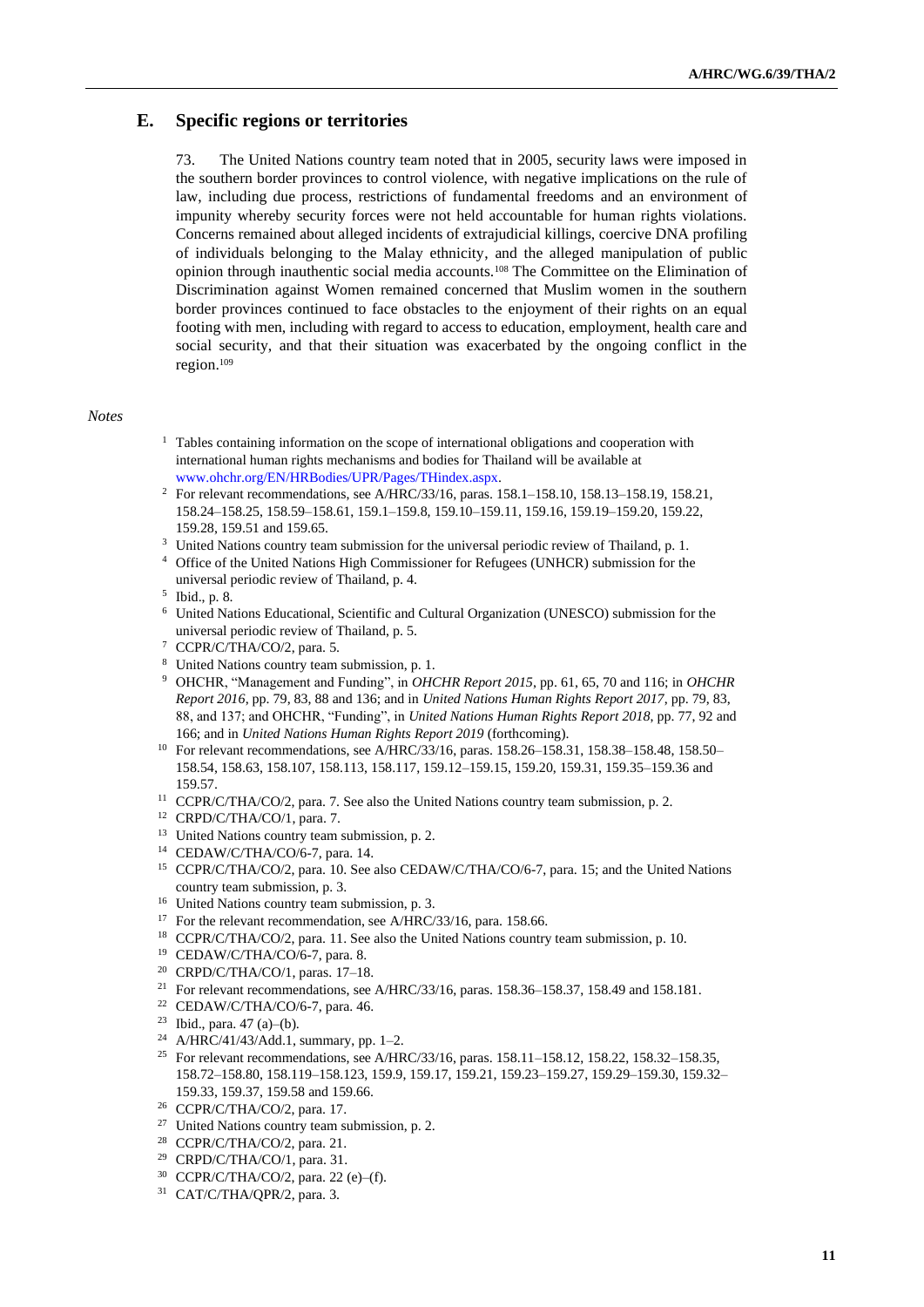# **E. Specific regions or territories**

73. The United Nations country team noted that in 2005, security laws were imposed in the southern border provinces to control violence, with negative implications on the rule of law, including due process, restrictions of fundamental freedoms and an environment of impunity whereby security forces were not held accountable for human rights violations. Concerns remained about alleged incidents of extrajudicial killings, coercive DNA profiling of individuals belonging to the Malay ethnicity, and the alleged manipulation of public opinion through inauthentic social media accounts.<sup>108</sup> The Committee on the Elimination of Discrimination against Women remained concerned that Muslim women in the southern border provinces continued to face obstacles to the enjoyment of their rights on an equal footing with men, including with regard to access to education, employment, health care and social security, and that their situation was exacerbated by the ongoing conflict in the region.<sup>109</sup>

### *Notes*

- $1$  Tables containing information on the scope of international obligations and cooperation with international human rights mechanisms and bodies for Thailand will be available at [www.ohchr.org/EN/HRBodies/UPR/Pages/THindex.aspx.](https://www.ohchr.org/EN/HRBodies/UPR/Pages/THindex.aspx)
- <sup>2</sup> For relevant recommendations, see A/HRC/33/16, paras. 158.1–158.10, 158.13–158.19, 158.21, 158.24–158.25, 158.59–158.61, 159.1–159.8, 159.10–159.11, 159.16, 159.19–159.20, 159.22, 159.28, 159.51 and 159.65.
- <sup>3</sup> United Nations country team submission for the universal periodic review of Thailand, p. 1.
- <sup>4</sup> Office of the United Nations High Commissioner for Refugees (UNHCR) submission for the universal periodic review of Thailand, p. 4.
- 5 Ibid., p. 8.
- <sup>6</sup> United Nations Educational, Scientific and Cultural Organization (UNESCO) submission for the universal periodic review of Thailand, p. 5.
- <sup>7</sup> CCPR/C/THA/CO/2, para. 5.
- <sup>8</sup> United Nations country team submission, p. 1.
- <sup>9</sup> OHCHR, "Management and Funding", in *OHCHR Report 2015*, pp. 61, 65, 70 and 116; in *OHCHR Report 2016*, pp. 79, 83, 88 and 136; and in *United Nations Human Rights Report 2017*, pp. 79, 83, 88, and 137; and OHCHR, "Funding", in *United Nations Human Rights Report 2018*, pp. 77, 92 and 166; and in *United Nations Human Rights Report 2019* (forthcoming).
- <sup>10</sup> For relevant recommendations, see A/HRC/33/16, paras. 158.26–158.31, 158.38–158.48, 158.50– 158.54, 158.63, 158.107, 158.113, 158.117, 159.12–159.15, 159.20, 159.31, 159.35–159.36 and 159.57.
- <sup>11</sup> CCPR/C/THA/CO/2, para. 7. See also the United Nations country team submission, p. 2.
- <sup>12</sup> CRPD/C/THA/CO/1, para. 7.
- <sup>13</sup> United Nations country team submission, p. 2.
- <sup>14</sup> CEDAW/C/THA/CO/6-7, para. 14.
- <sup>15</sup> CCPR/C/THA/CO/2, para. 10. See also CEDAW/C/THA/CO/6-7, para. 15; and the United Nations country team submission, p. 3.
- <sup>16</sup> United Nations country team submission, p. 3.
- <sup>17</sup> For the relevant recommendation, see A/HRC/33/16, para. 158.66.
- <sup>18</sup> CCPR/C/THA/CO/2, para. 11. See also the United Nations country team submission, p. 10.
- <sup>19</sup> CEDAW/C/THA/CO/6-7, para. 8.
- <sup>20</sup> CRPD/C/THA/CO/1, paras. 17–18.
- <sup>21</sup> For relevant recommendations, see A/HRC/33/16, paras. 158.36–158.37, 158.49 and 158.181.
- <sup>22</sup> CEDAW/C/THA/CO/6-7, para. 46.
- <sup>23</sup> Ibid., para. 47 (a)–(b).
- <sup>24</sup> A/HRC/41/43/Add.1, summary, pp. 1–2.
- <sup>25</sup> For relevant recommendations, see A/HRC/33/16, paras. 158.11-158.12, 158.22, 158.32-158.35, 158.72–158.80, 158.119–158.123, 159.9, 159.17, 159.21, 159.23–159.27, 159.29–159.30, 159.32– 159.33, 159.37, 159.58 and 159.66.
- <sup>26</sup> CCPR/C/THA/CO/2, para. 17.
- <sup>27</sup> United Nations country team submission, p. 2.
- <sup>28</sup> CCPR/C/THA/CO/2, para. 21.
- <sup>29</sup> CRPD/C/THA/CO/1, para. 31.
- <sup>30</sup> CCPR/C/THA/CO/2, para. 22 (e)–(f).
- <sup>31</sup> CAT/C/THA/QPR/2, para. 3.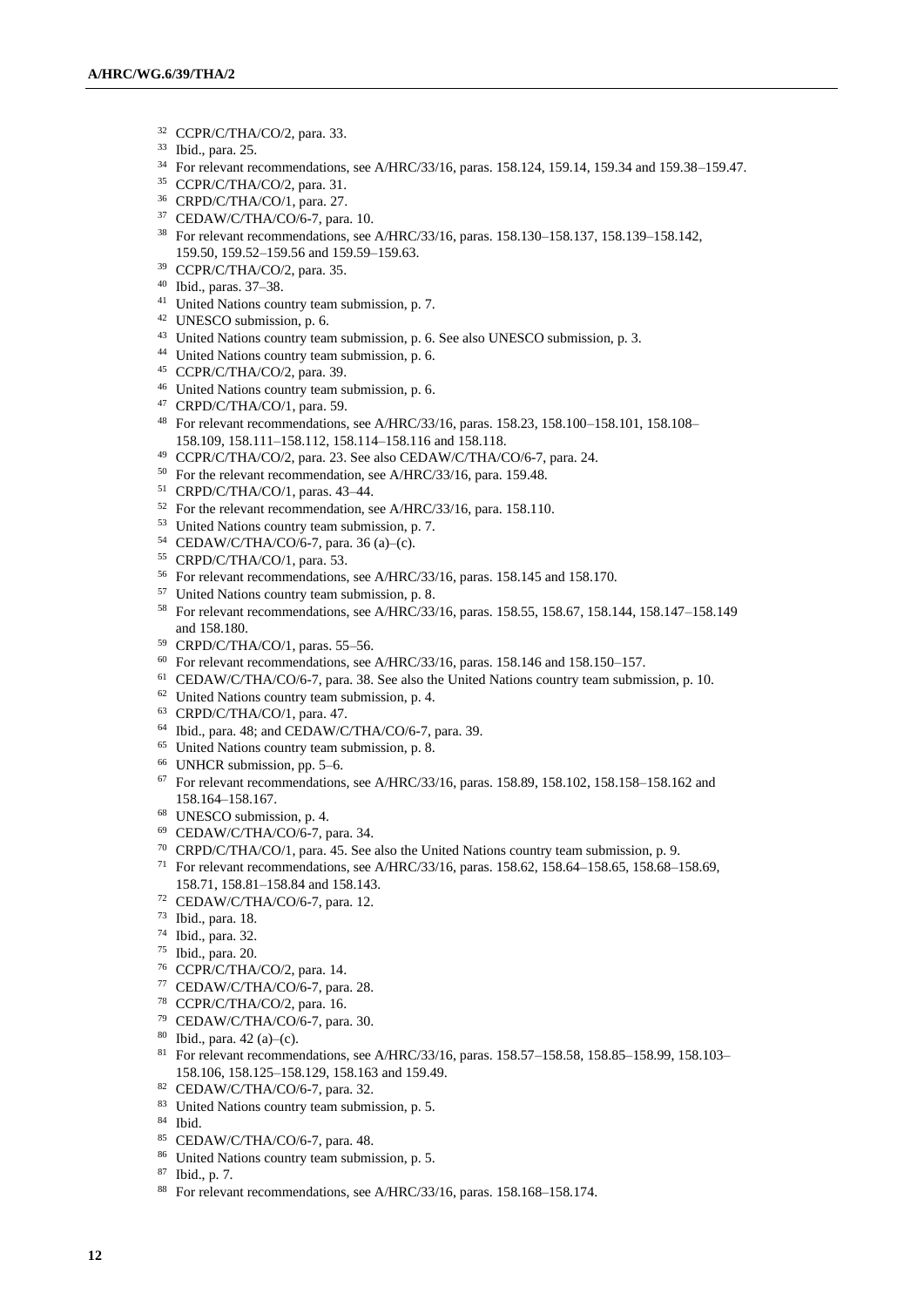- CCPR/C/THA/CO/2, para. 33.
- Ibid., para. 25.
- For relevant recommendations, see A/HRC/33/16, paras. 158.124, 159.14, 159.34 and 159.38–159.47.
- CCPR/C/THA/CO/2, para. 31.
- CRPD/C/THA/CO/1, para. 27.
- CEDAW/C/THA/CO/6-7, para. 10.
- For relevant recommendations, see A/HRC/33/16, paras. 158.130–158.137, 158.139–158.142, 159.50, 159.52–159.56 and 159.59–159.63.
- CCPR/C/THA/CO/2, para. 35.
- Ibid., paras. 37–38.
- United Nations country team submission, p. 7.
- UNESCO submission, p. 6.
- United Nations country team submission, p. 6. See also UNESCO submission, p. 3.
- United Nations country team submission, p. 6.
- CCPR/C/THA/CO/2, para. 39.
- United Nations country team submission, p. 6.
- CRPD/C/THA/CO/1, para. 59.
- For relevant recommendations, see A/HRC/33/16, paras. 158.23, 158.100–158.101, 158.108– 158.109, 158.111–158.112, 158.114–158.116 and 158.118.
- CCPR/C/THA/CO/2, para. 23. See also CEDAW/C/THA/CO/6-7, para. 24.
- For the relevant recommendation, see A/HRC/33/16, para. 159.48.
- CRPD/C/THA/CO/1, paras. 43–44.
- For the relevant recommendation, see A/HRC/33/16, para. 158.110.
- United Nations country team submission, p. 7.
- CEDAW/C/THA/CO/6-7, para. 36 (a)–(c).
- CRPD/C/THA/CO/1, para. 53.
- For relevant recommendations, see A/HRC/33/16, paras. 158.145 and 158.170.
- United Nations country team submission, p. 8.
- For relevant recommendations, see A/HRC/33/16, paras. 158.55, 158.67, 158.144, 158.147–158.149 and 158.180.
- CRPD/C/THA/CO/1, paras. 55–56.
- For relevant recommendations, see A/HRC/33/16, paras. 158.146 and 158.150-157.
- CEDAW/C/THA/CO/6-7, para. 38. See also the United Nations country team submission, p. 10.
- United Nations country team submission, p. 4.
- CRPD/C/THA/CO/1, para. 47.
- Ibid., para. 48; and CEDAW/C/THA/CO/6-7, para. 39.
- United Nations country team submission, p. 8.
- UNHCR submission, pp. 5–6.
- For relevant recommendations, see A/HRC/33/16, paras. 158.89, 158.102, 158.158–158.162 and 158.164–158.167.
- UNESCO submission, p. 4.
- CEDAW/C/THA/CO/6-7, para. 34.
- CRPD/C/THA/CO/1, para. 45. See also the United Nations country team submission, p. 9.
- <sup>71</sup> For relevant recommendations, see A/HRC/33/16, paras. 158.62, 158.64–158.65, 158.68–158.69, 158.71, 158.81–158.84 and 158.143.
- CEDAW/C/THA/CO/6-7, para. 12.
- Ibid., para. 18.
- Ibid., para. 32.
- Ibid., para. 20.
- CCPR/C/THA/CO/2, para. 14.
- CEDAW/C/THA/CO/6-7, para. 28.
- CCPR/C/THA/CO/2, para. 16.
- CEDAW/C/THA/CO/6-7, para. 30.
- Ibid., para. 42 (a)–(c).
- For relevant recommendations, see A/HRC/33/16, paras. 158.57–158.58, 158.85–158.99, 158.103– 158.106, 158.125–158.129, 158.163 and 159.49.
- CEDAW/C/THA/CO/6-7, para. 32.
- 83 United Nations country team submission, p. 5.
- Ibid.
- CEDAW/C/THA/CO/6-7, para. 48.
- United Nations country team submission, p. 5.
- Ibid., p. 7.
- For relevant recommendations, see A/HRC/33/16, paras. 158.168–158.174.